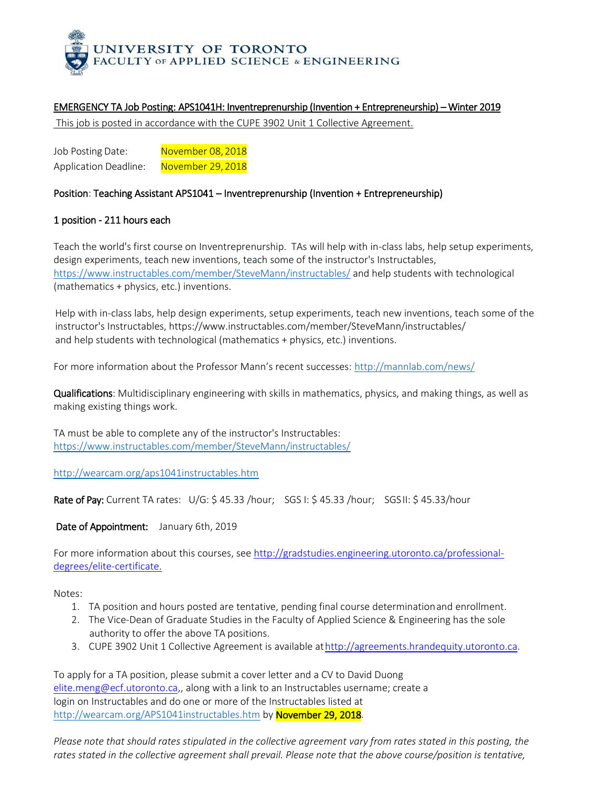

## EMERGENCY TA Job Posting: APS1041H: Inventreprenurship (Invention + Entrepreneurship) – Winter 2019

This job is posted in accordance with the CUPE 3902 Unit 1 Collective Agreement.

Job Posting Date: November 08, 2018 Application Deadline: November 29, 2018

## Position: Teaching Assistant APS1041 – Inventreprenurship (Invention + Entrepreneurship)

## 1 position - 211 hours each

Teach the world's first course on Inventreprenurship. TAs will help with in-class labs, help setup experiments, design experiments, teach new inventions, teach some of the instructor's Instructables, <https://www.instructables.com/member/SteveMann/instructables/> and help students with technological (mathematics + physics, etc.) inventions.

Help with in-class labs, help design experiments, setup experiments, teach new inventions, teach some of the instructor's Instructables, https://www.instructables.com/member/SteveMann/instructables/ and help students with technological (mathematics + physics, etc.) inventions.

For more information about the Professor Mann's recent successes: <http://mannlab.com/news/>

Qualifications: Multidisciplinary engineering with skills in mathematics, physics, and making things, as well as making existing things work.

TA must be able to complete any of the instructor's Instructables: <https://www.instructables.com/member/SteveMann/instructables/>

<http://wearcam.org/aps1041instructables.htm>

Rate of Pay: Current TA rates: U/G: \$ 45.33 /hour; SGS I: \$ 45.33 /hour; SGS II: \$ 45.33/hour

Date of Appointment: January 6th, 2019

For more information about this courses, se[e http://gradstudies.engineering.utoronto.ca/professional](http://gradstudies.engineering.utoronto.ca/professional-degrees/elite-certificate)[degrees/elite-certificate.](http://gradstudies.engineering.utoronto.ca/professional-degrees/elite-certificate)

Notes:

- 1. TA position and hours posted are tentative, pending final course determinationand enrollment.
- 2. The Vice-Dean of Graduate Studies in the Faculty of Applied Science & Engineering has the sole authority to offer the above TA positions.
- 3. CUPE 3902 Unit 1 Collective Agreement is available a[thttp://agreements.hrandequity.utoronto.ca.](http://agreements.hrandequity.utoronto.ca/)

To apply for a TA position, please submit a cover letter and a CV to David Duong [elite.meng@ecf.utoronto.ca,,](mailto:elite.meng@ecf.utoronto.ca) along with a link to an Instructables username; create a login on Instructables and do one or more of the Instructables listed at <http://wearcam.org/APS1041instructables.htm> by November 29, 2018.

*Please note that should rates stipulated in the collective agreement vary from rates stated in this posting, the*  rates stated in the collective agreement shall prevail. Please note that the above course/position is tentative,